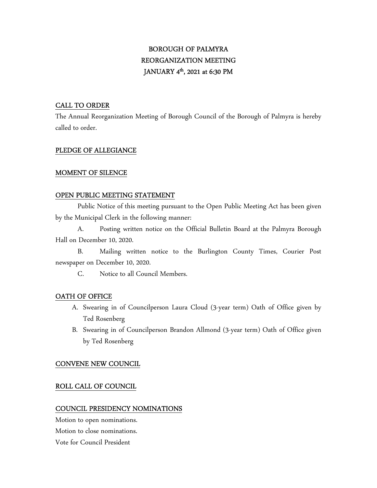# BOROUGH OF PALMYRA REORGANIZATION MEETING JANUARY 4 th, 2021 at 6:30 PM

# CALL TO ORDER

The Annual Reorganization Meeting of Borough Council of the Borough of Palmyra is hereby called to order.

## PLEDGE OF ALLEGIANCE

# MOMENT OF SILENCE

# OPEN PUBLIC MEETING STATEMENT

 Public Notice of this meeting pursuant to the Open Public Meeting Act has been given by the Municipal Clerk in the following manner:

 A. Posting written notice on the Official Bulletin Board at the Palmyra Borough Hall on December 10, 2020.

 B. Mailing written notice to the Burlington County Times, Courier Post newspaper on December 10, 2020.

C. Notice to all Council Members.

# OATH OF OFFICE

- A. Swearing in of Councilperson Laura Cloud (3-year term) Oath of Office given by Ted Rosenberg
- B. Swearing in of Councilperson Brandon Allmond (3-year term) Oath of Office given by Ted Rosenberg

## CONVENE NEW COUNCIL

# ROLL CALL OF COUNCIL

## COUNCIL PRESIDENCY NOMINATIONS

Motion to open nominations. Motion to close nominations. Vote for Council President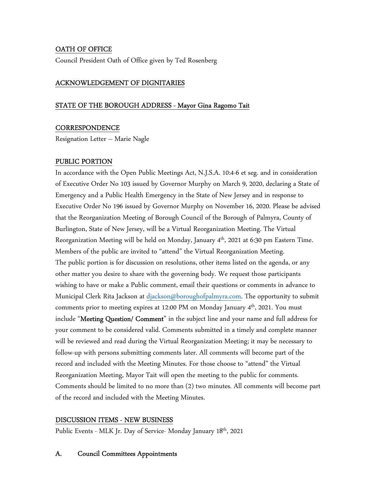# OATH OF OFFICE

Council President Oath of Office given by Ted Rosenberg

### ACKNOWLEDGEMENT OF DIGNITARIES

#### STATE OF THE BOROUGH ADDRESS - Mayor Gina Ragomo Tait

#### **CORRESPONDENCE**

Resignation Letter – Marie Nagle

### PUBLIC PORTION

In accordance with the Open Public Meetings Act, N.J.S.A. 10:4-6 et seg. and in consideration of Executive Order No 103 issued by Governor Murphy on March 9, 2020, declaring a State of Emergency and a Public Health Emergency in the State of New Jersey and in response to Executive Order No 196 issued by Governor Murphy on November 16, 2020. Please be advised that the Reorganization Meeting of Borough Council of the Borough of Palmyra, County of Burlington, State of New Jersey, will be a Virtual Reorganization Meeting. The Virtual Reorganization Meeting will be held on Monday, January 4<sup>th</sup>, 2021 at 6:30 pm Eastern Time. Members of the public are invited to "attend" the Virtual Reorganization Meeting. The public portion is for discussion on resolutions, other items listed on the agenda, or any other matter you desire to share with the governing body. We request those participants wishing to have or make a Public comment, email their questions or comments in advance to Municipal Clerk Rita Jackson at djackson@boroughofpalmyra.com. The opportunity to submit comments prior to meeting expires at 12:00 PM on Monday January 4<sup>th</sup>, 2021. You must include "**Meeting Question/ Comment**" in the subject line and your name and full address for your comment to be considered valid. Comments submitted in a timely and complete manner will be reviewed and read during the Virtual Reorganization Meeting; it may be necessary to follow-up with persons submitting comments later. All comments will become part of the record and included with the Meeting Minutes. For those choose to "attend" the Virtual Reorganization Meeting, Mayor Tait will open the meeting to the public for comments. Comments should be limited to no more than (2) two minutes. All comments will become part of the record and included with the Meeting Minutes.

## DISCUSSION ITEMS - NEW BUSINESS

Public Events - MLK Jr. Day of Service- Monday January 18<sup>th</sup>, 2021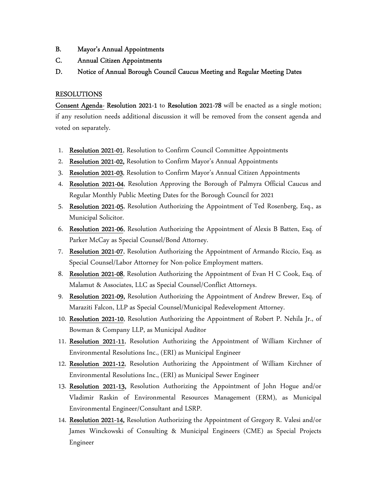- B. Mayor's Annual Appointments
- C. Annual Citizen Appointments
- D. Notice of Annual Borough Council Caucus Meeting and Regular Meeting Dates

#### RESOLUTIONS

Consent Agenda- Resolution 2021-1 to Resolution 2021-78 will be enacted as a single motion; if any resolution needs additional discussion it will be removed from the consent agenda and voted on separately.

- 1. Resolution 2021-01, Resolution to Confirm Council Committee Appointments
- 2. Resolution 2021-02, Resolution to Confirm Mayor's Annual Appointments
- 3. Resolution 2021-03, Resolution to Confirm Mayor's Annual Citizen Appointments
- 4. Resolution 2021-04, Resolution Approving the Borough of Palmyra Official Caucus and Regular Monthly Public Meeting Dates for the Borough Council for 2021
- 5. Resolution 2021-05, Resolution Authorizing the Appointment of Ted Rosenberg, Esq., as Municipal Solicitor.
- 6. Resolution 2021-06, Resolution Authorizing the Appointment of Alexis B Batten, Esq. of Parker McCay as Special Counsel/Bond Attorney.
- 7. Resolution 2021-07, Resolution Authorizing the Appointment of Armando Riccio, Esq. as Special Counsel/Labor Attorney for Non-police Employment matters.
- 8. Resolution 2021-08, Resolution Authorizing the Appointment of Evan H C Cook, Esq. of Malamut & Associates, LLC as Special Counsel/Conflict Attorneys.
- 9. Resolution 2021-09, Resolution Authorizing the Appointment of Andrew Brewer, Esq. of Maraziti Falcon, LLP as Special Counsel/Municipal Redevelopment Attorney.
- 10. Resolution 2021-10, Resolution Authorizing the Appointment of Robert P. Nehila Jr., of Bowman & Company LLP, as Municipal Auditor
- 11. Resolution 2021-11, Resolution Authorizing the Appointment of William Kirchner of Environmental Resolutions Inc., (ERI) as Municipal Engineer
- 12. Resolution 2021-12, Resolution Authorizing the Appointment of William Kirchner of Environmental Resolutions Inc., (ERI) as Municipal Sewer Engineer
- 13. Resolution 2021-13, Resolution Authorizing the Appointment of John Hogue and/or Vladimir Raskin of Environmental Resources Management (ERM), as Municipal Environmental Engineer/Consultant and LSRP.
- 14. Resolution 2021-14, Resolution Authorizing the Appointment of Gregory R. Valesi and/or James Winckowski of Consulting & Municipal Engineers (CME) as Special Projects Engineer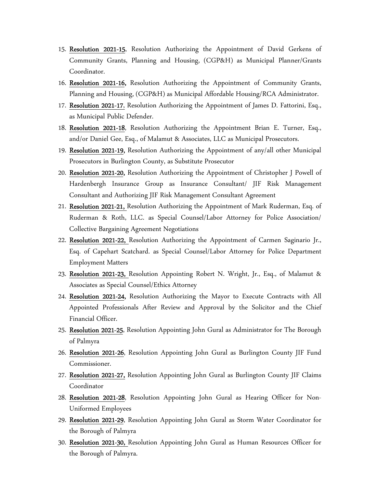- 15. Resolution 2021-15, Resolution Authorizing the Appointment of David Gerkens of Community Grants, Planning and Housing, (CGP&H) as Municipal Planner/Grants Coordinator.
- 16. Resolution 2021-16, Resolution Authorizing the Appointment of Community Grants, Planning and Housing, (CGP&H) as Municipal Affordable Housing/RCA Administrator.
- 17. Resolution 2021-17, Resolution Authorizing the Appointment of James D. Fattorini, Esq., as Municipal Public Defender.
- 18. Resolution 2021-18, Resolution Authorizing the Appointment Brian E. Turner, Esq., and/or Daniel Gee, Esq., of Malamut & Associates, LLC as Municipal Prosecutors.
- 19. Resolution 2021-19, Resolution Authorizing the Appointment of any/all other Municipal Prosecutors in Burlington County, as Substitute Prosecutor
- 20. Resolution 2021-20, Resolution Authorizing the Appointment of Christopher J Powell of Hardenbergh Insurance Group as Insurance Consultant/ JIF Risk Management Consultant and Authorizing JIF Risk Management Consultant Agreement
- 21. Resolution 2021-21, Resolution Authorizing the Appointment of Mark Ruderman, Esq. of Ruderman & Roth, LLC. as Special Counsel/Labor Attorney for Police Association/ Collective Bargaining Agreement Negotiations
- 22. Resolution 2021-22, Resolution Authorizing the Appointment of Carmen Saginario Jr., Esq. of Capehart Scatchard. as Special Counsel/Labor Attorney for Police Department Employment Matters
- 23. Resolution 2021-23, Resolution Appointing Robert N. Wright, Jr., Esq., of Malamut & Associates as Special Counsel/Ethics Attorney
- 24. Resolution 2021-24, Resolution Authorizing the Mayor to Execute Contracts with All Appointed Professionals After Review and Approval by the Solicitor and the Chief Financial Officer.
- 25. Resolution 2021-25, Resolution Appointing John Gural as Administrator for The Borough of Palmyra
- 26. Resolution 2021-26, Resolution Appointing John Gural as Burlington County JIF Fund Commissioner.
- 27. Resolution 2021-27, Resolution Appointing John Gural as Burlington County JIF Claims Coordinator
- 28. Resolution 2021-28, Resolution Appointing John Gural as Hearing Officer for Non-Uniformed Employees
- 29. Resolution 2021-29, Resolution Appointing John Gural as Storm Water Coordinator for the Borough of Palmyra
- 30. Resolution 2021-30, Resolution Appointing John Gural as Human Resources Officer for the Borough of Palmyra.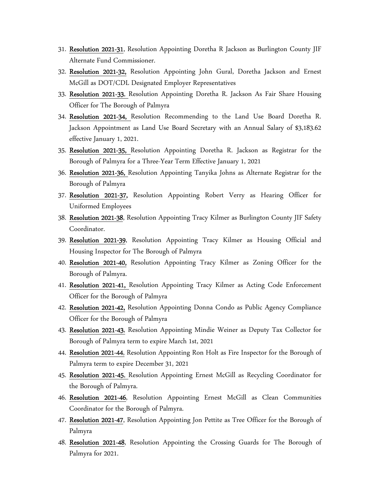- 31. Resolution 2021-31, Resolution Appointing Doretha R Jackson as Burlington County JIF Alternate Fund Commissioner.
- 32. Resolution 2021-32, Resolution Appointing John Gural, Doretha Jackson and Ernest McGill as DOT/CDL Designated Employer Representatives
- 33. Resolution 2021-33, Resolution Appointing Doretha R. Jackson As Fair Share Housing Officer for The Borough of Palmyra
- 34. Resolution 2021-34, Resolution Recommending to the Land Use Board Doretha R. Jackson Appointment as Land Use Board Secretary with an Annual Salary of \$3,183.62 effective January 1, 2021.
- 35. Resolution 2021-35, Resolution Appointing Doretha R. Jackson as Registrar for the Borough of Palmyra for a Three-Year Term Effective January 1, 2021
- 36. Resolution 2021-36, Resolution Appointing Tanyika Johns as Alternate Registrar for the Borough of Palmyra
- 37. Resolution 2021-37, Resolution Appointing Robert Verry as Hearing Officer for Uniformed Employees
- 38. Resolution 2021-38, Resolution Appointing Tracy Kilmer as Burlington County JIF Safety Coordinator.
- 39. Resolution 2021-39, Resolution Appointing Tracy Kilmer as Housing Official and Housing Inspector for The Borough of Palmyra
- 40. Resolution 2021-40, Resolution Appointing Tracy Kilmer as Zoning Officer for the Borough of Palmyra.
- 41. Resolution 2021-41, Resolution Appointing Tracy Kilmer as Acting Code Enforcement Officer for the Borough of Palmyra
- 42. Resolution 2021-42, Resolution Appointing Donna Condo as Public Agency Compliance Officer for the Borough of Palmyra
- 43. Resolution 2021-43, Resolution Appointing Mindie Weiner as Deputy Tax Collector for Borough of Palmyra term to expire March 1st, 2021
- 44. Resolution 2021-44, Resolution Appointing Ron Holt as Fire Inspector for the Borough of Palmyra term to expire December 31, 2021
- 45. Resolution 2021-45, Resolution Appointing Ernest McGill as Recycling Coordinator for the Borough of Palmyra.
- 46. Resolution 2021-46, Resolution Appointing Ernest McGill as Clean Communities Coordinator for the Borough of Palmyra.
- 47. Resolution 2021-47, Resolution Appointing Jon Pettite as Tree Officer for the Borough of Palmyra
- 48. Resolution 2021-48, Resolution Appointing the Crossing Guards for The Borough of Palmyra for 2021.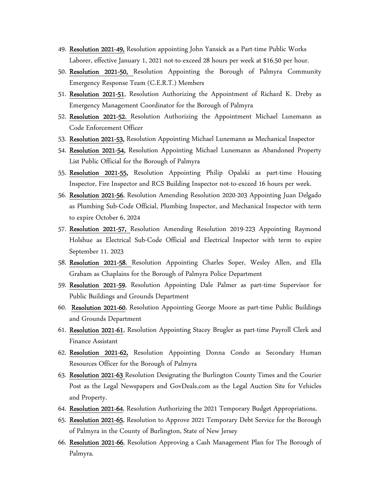- 49. Resolution 2021-49, Resolution appointing John Yansick as a Part-time Public Works Laborer, effective January 1, 2021 not-to-exceed 28 hours per week at \$16.50 per hour.
- 50. Resolution 2021-50, Resolution Appointing the Borough of Palmyra Community Emergency Response Team (C.E.R.T.) Members
- 51. Resolution 2021-51, Resolution Authorizing the Appointment of Richard K. Dreby as Emergency Management Coordinator for the Borough of Palmyra
- 52. Resolution 2021-52, Resolution Authorizing the Appointment Michael Lunemann as Code Enforcement Officer
- 53. Resolution 2021-53, Resolution Appointing Michael Lunemann as Mechanical Inspector
- 54. Resolution 2021-54, Resolution Appointing Michael Lunemann as Abandoned Property List Public Official for the Borough of Palmyra
- 55. Resolution 2021-55, Resolution Appointing Philip Opalski as part-time Housing Inspector, Fire Inspector and RCS Building Inspector not-to-exceed 16 hours per week.
- 56. Resolution 2021-56, Resolution Amending Resolution 2020-203 Appointing Juan Delgado as Plumbing Sub-Code Official, Plumbing Inspector, and Mechanical Inspector with term to expire October 6, 2024
- 57. Resolution 2021-57, Resolution Amending Resolution 2019-223 Appointing Raymond Holshue as Electrical Sub-Code Official and Electrical Inspector with term to expire September 11. 2023
- 58. Resolution 2021-58, Resolution Appointing Charles Soper, Wesley Allen, and Ella Graham as Chaplains for the Borough of Palmyra Police Department
- 59. Resolution 2021-59, Resolution Appointing Dale Palmer as part-time Supervisor for Public Buildings and Grounds Department
- 60. Resolution 2021-60, Resolution Appointing George Moore as part-time Public Buildings and Grounds Department
- 61. Resolution 2021-61, Resolution Appointing Stacey Brugler as part-time Payroll Clerk and Finance Assistant
- 62. Resolution 2021-62, Resolution Appointing Donna Condo as Secondary Human Resources Officer for the Borough of Palmyra
- 63. Resolution 2021-63 Resolution Designating the Burlington County Times and the Courier Post as the Legal Newspapers and GovDeals.com as the Legal Auction Site for Vehicles and Property.
- 64. Resolution 2021-64, Resolution Authorizing the 2021 Temporary Budget Appropriations.
- 65. Resolution 2021-65, Resolution to Approve 2021 Temporary Debt Service for the Borough of Palmyra in the County of Burlington, State of New Jersey
- 66. Resolution 2021-66, Resolution Approving a Cash Management Plan for The Borough of Palmyra.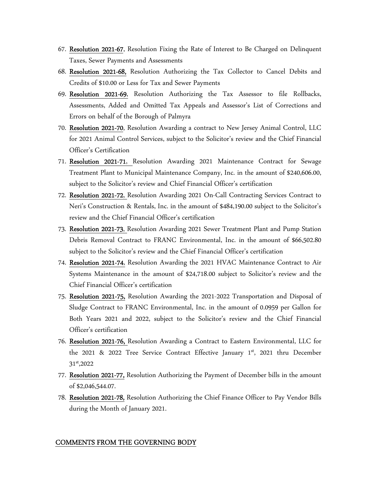- 67. Resolution 2021-67, Resolution Fixing the Rate of Interest to Be Charged on Delinquent Taxes, Sewer Payments and Assessments
- 68. Resolution 2021-68, Resolution Authorizing the Tax Collector to Cancel Debits and Credits of \$10.00 or Less for Tax and Sewer Payments
- 69. Resolution 2021-69, Resolution Authorizing the Tax Assessor to file Rollbacks, Assessments, Added and Omitted Tax Appeals and Assessor's List of Corrections and Errors on behalf of the Borough of Palmyra
- 70. Resolution 2021-70, Resolution Awarding a contract to New Jersey Animal Control, LLC for 2021 Animal Control Services, subject to the Solicitor's review and the Chief Financial Officer's Certification
- 71. Resolution 2021-71, Resolution Awarding 2021 Maintenance Contract for Sewage Treatment Plant to Municipal Maintenance Company, Inc. in the amount of \$240,606.00, subject to the Solicitor's review and Chief Financial Officer's certification
- 72. Resolution 2021-72, Resolution Awarding 2021 On-Call Contracting Services Contract to Neri's Construction & Rentals, Inc. in the amount of \$484,190.00 subject to the Solicitor's review and the Chief Financial Officer's certification
- 73. Resolution 2021-73, Resolution Awarding 2021 Sewer Treatment Plant and Pump Station Debris Removal Contract to FRANC Environmental, Inc. in the amount of \$66,502.80 subject to the Solicitor's review and the Chief Financial Officer's certification
- 74. Resolution 2021-74, Resolution Awarding the 2021 HVAC Maintenance Contract to Air Systems Maintenance in the amount of \$24,718.00 subject to Solicitor's review and the Chief Financial Officer's certification
- 75. Resolution 2021-75, Resolution Awarding the 2021-2022 Transportation and Disposal of Sludge Contract to FRANC Environmental, Inc. in the amount of 0.0959 per Gallon for Both Years 2021 and 2022, subject to the Solicitor's review and the Chief Financial Officer's certification
- 76. Resolution 2021-76, Resolution Awarding a Contract to Eastern Environmental, LLC for the 2021 & 2022 Tree Service Contract Effective January 1st, 2021 thru December 31st,2022
- 77. Resolution 2021-77, Resolution Authorizing the Payment of December bills in the amount of \$2,046,544.07.
- 78. Resolution 2021-78, Resolution Authorizing the Chief Finance Officer to Pay Vendor Bills during the Month of January 2021.

#### COMMENTS FROM THE GOVERNING BODY